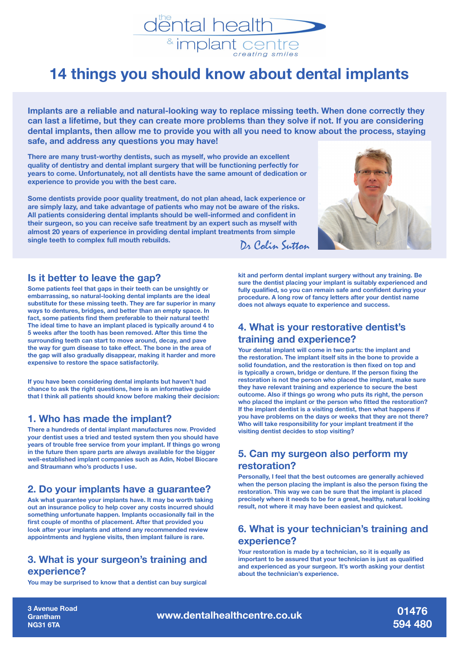

# **14 things you should know about dental implants**

**Implants are a reliable and natural-looking way to replace missing teeth. When done correctly they can last a lifetime, but they can create more problems than they solve if not. If you are considering dental implants, then allow me to provide you with all you need to know about the process, staying safe, and address any questions you may have!**

**There are many trust-worthy dentists, such as myself, who provide an excellent quality of dentistry and dental implant surgery that will be functioning perfectly for years to come. Unfortunately, not all dentists have the same amount of dedication or experience to provide you with the best care.**

**Some dentists provide poor quality treatment, do not plan ahead, lack experience or are simply lazy, and take advantage of patients who may not be aware of the risks. All patients considering dental implants should be well-informed and confident in their surgeon, so you can receive safe treatment by an expert such as myself with almost 20 years of experience in providing dental implant treatments from simple**  Dr Colin Sutton



#### **Is it better to leave the gap?**

**Some patients feel that gaps in their teeth can be unsightly or embarrassing, so natural-looking dental implants are the ideal substitute for these missing teeth. They are far superior in many ways to dentures, bridges, and better than an empty space. In fact, some patients find them preferable to their natural teeth! The ideal time to have an implant placed is typically around 4 to 5 weeks after the tooth has been removed. After this time the surrounding teeth can start to move around, decay, and pave the way for gum disease to take effect. The bone in the area of the gap will also gradually disappear, making it harder and more expensive to restore the space satisfactorily.** 

**If you have been considering dental implants but haven't had chance to ask the right questions, here is an informative guide that I think all patients should know before making their decision:**

#### **1. Who has made the implant?**

**There a hundreds of dental implant manufactures now. Provided your dentist uses a tried and tested system then you should have years of trouble free service from your implant. If things go wrong in the future then spare parts are always available for the bigger well-established implant companies such as Adin, Nobel Biocare and Straumann who's products I use.**

#### **2. Do your implants have a guarantee?**

**Ask what guarantee your implants have. It may be worth taking out an insurance policy to help cover any costs incurred should something unfortunate happen. Implants occasionally fail in the first couple of months of placement. After that provided you look after your implants and attend any recommended review appointments and hygiene visits, then implant failure is rare.**

#### **3. What is your surgeon's training and experience?**

**You may be surprised to know that a dentist can buy surgical** 

**kit and perform dental implant surgery without any training. Be sure the dentist placing your implant is suitably experienced and fully qualified, so you can remain safe and confident during your procedure. A long row of fancy letters after your dentist name does not always equate to experience and success.**

#### **4. What is your restorative dentist's training and experience?**

**Your dental implant will come in two parts: the implant and the restoration. The implant itself sits in the bone to provide a solid foundation, and the restoration is then fixed on top and is typically a crown, bridge or denture. If the person fixing the restoration is not the person who placed the implant, make sure they have relevant training and experience to secure the best outcome. Also if things go wrong who puts its right, the person who placed the implant or the person who fitted the restoration? If the implant dentist is a visiting dentist, then what happens if you have problems on the days or weeks that they are not there? Who will take responsibility for your implant treatment if the visiting dentist decides to stop visiting?**

## **5. Can my surgeon also perform my restoration?**

**Personally, I feel that the best outcomes are generally achieved when the person placing the implant is also the person fixing the restoration. This way we can be sure that the implant is placed precisely where it needs to be for a great, healthy, natural looking result, not where it may have been easiest and quickest.**

#### **6. What is your technician's training and experience?**

**Your restoration is made by a technician, so it is equally as important to be assured that your technician is just as qualified and experienced as your surgeon. It's worth asking your dentist about the technician's experience.** 

**3 Avenue Road Grantham NG31 6TA**

**www.dentalhealthcentre.co.uk**

**01476 594 480**